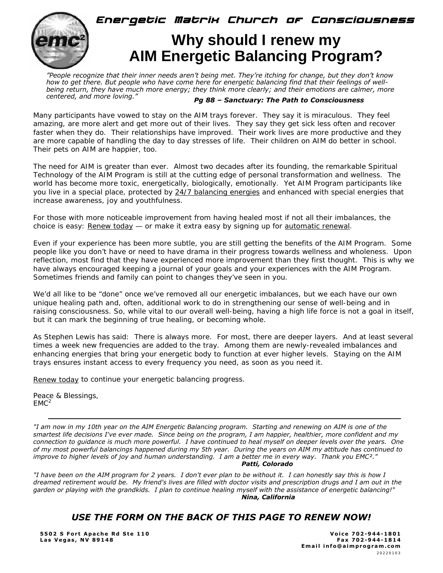

# **Why should I renew my AIM Energetic Balancing Program?**

**Energetic Matrix Church of Consciousness** 

*"People recognize that their inner needs aren't being met. They're itching for change, but they don't know how to get there. But people who have come here for energetic balancing find that their feelings of wellbeing return, they have much more energy; they think more clearly; and their emotions are calmer, more centered, and more loving."*

#### *Pg 88 – Sanctuary: The Path to Consciousness*

Many participants have vowed to stay on the AIM trays forever. They say it is miraculous. They feel amazing, are more alert and get more out of their lives. They say they get sick less often and recover faster when they do. Their relationships have improved. Their work lives are more productive and they are more capable of handling the day to day stresses of life. Their children on AIM do better in school. Their pets on AIM are happier, too.

The need for AIM is greater than ever. Almost two decades after its founding, the remarkable Spiritual Technology of the AIM Program is still at the cutting edge of personal transformation and wellness. The world has become more toxic, energetically, biologically, emotionally. Yet AIM Program participants like you live in a special place, protected by 24/7 balancing energies and enhanced with special energies that increase awareness, joy and youthfulness.

For those with more noticeable improvement from having healed most if not all their imbalances, the choice is easy: Renew today — or make it extra easy by signing up for automatic renewal.

Even if your experience has been more subtle, you are still getting the benefits of the AIM Program. Some people like you don't have or need to have drama in their progress towards wellness and wholeness. Upon reflection, most find that they have experienced more improvement than they first thought. This is why we have always encouraged keeping a journal of your goals and your experiences with the AIM Program. Sometimes friends and family can point to changes they've seen in you.

We'd all like to be "done" once we've removed all our energetic imbalances, but we each have our own unique healing path and, often, additional work to do in strengthening our sense of well-being and in raising consciousness. So, while vital to our overall well-being, having a high life force is not a goal in itself, but it can mark the beginning of true healing, or becoming whole.

As Stephen Lewis has said: There is always more. For most, there are deeper layers. And at least several times a week new frequencies are added to the tray. Among them are newly-revealed imbalances and enhancing energies that bring your energetic body to function at ever higher levels. Staying on the AIM trays ensures instant access to every frequency you need, as soon as you need it.

Renew today to continue your energetic balancing progress.

Peace & Blessings,  $EMC<sup>2</sup>$ 

*"I am now in my 10th year on the AIM Energetic Balancing program. Starting and renewing on AIM is one of the smartest life decisions I've ever made. Since being on the program, I am happier, healthier, more confident and my connection to guidance is much more powerful. I have continued to heal myself on deeper levels over the years. One of my most powerful balancings happened during my 5th year. During the years on AIM my attitude has continued to improve to higher levels of joy and human understanding. I am a better me in every way. Thank you EMC²." Patti, Colorado* 

*"I have been on the AIM program for 2 years. I don't ever plan to be without it. I can honestly say this is how I dreamed retirement would be. My friend's lives are filled with doctor visits and prescription drugs and I am out in the garden or playing with the grandkids. I plan to continue healing myself with the assistance of energetic balancing!" Nina, California*

### *USE THE FORM ON THE BACK OF THIS PAGE TO RENEW NOW!*

**5502 S Fort Apache Rd Ste 110 Voice 702-944-1801**  Las Vegas, NV 89148 **For a struck of the set of the set of the set of the set of the set of the set of the set o** 

 **Email info@aimprogram.com**  20220103